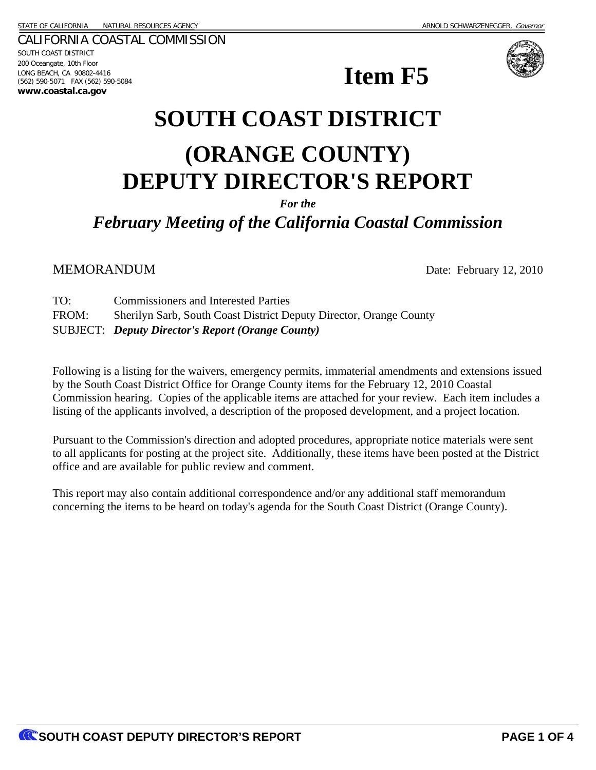CALIFORNIA COASTAL COMMISSION SOUTH COAST DISTRICT 200 Oceangate, 10th Floor LONG BEACH, CA 90802-4416 (562) 590-5071 FAX (562) 590-5084 **www.coastal.ca.gov**





# **SOUTH COAST DISTRICT (ORANGE COUNTY) DEPUTY DIRECTOR'S REPORT**

*For the*

*February Meeting of the California Coastal Commission*

MEMORANDUM Date: February 12, 2010

TO: Commissioners and Interested Parties FROM: Sherilyn Sarb, South Coast District Deputy Director, Orange County SUBJECT: *Deputy Director's Report (Orange County)* 

Following is a listing for the waivers, emergency permits, immaterial amendments and extensions issued by the South Coast District Office for Orange County items for the February 12, 2010 Coastal Commission hearing. Copies of the applicable items are attached for your review. Each item includes a listing of the applicants involved, a description of the proposed development, and a project location.

Pursuant to the Commission's direction and adopted procedures, appropriate notice materials were sent to all applicants for posting at the project site. Additionally, these items have been posted at the District office and are available for public review and comment.

This report may also contain additional correspondence and/or any additional staff memorandum concerning the items to be heard on today's agenda for the South Coast District (Orange County).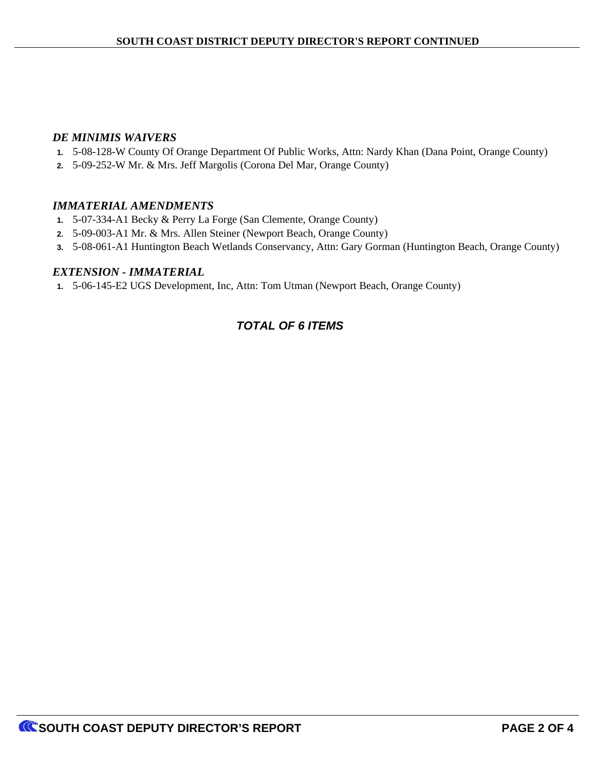#### *DE MINIMIS WAIVERS*

- **1.** 5-08-128-W County Of Orange Department Of Public Works, Attn: Nardy Khan (Dana Point, Orange County)
- **2.** 5-09-252-W Mr. & Mrs. Jeff Margolis (Corona Del Mar, Orange County)

#### *IMMATERIAL AMENDMENTS*

- **1.** 5-07-334-A1 Becky & Perry La Forge (San Clemente, Orange County)
- **2.** 5-09-003-A1 Mr. & Mrs. Allen Steiner (Newport Beach, Orange County)
- **3.** 5-08-061-A1 Huntington Beach Wetlands Conservancy, Attn: Gary Gorman (Huntington Beach, Orange County)

#### *EXTENSION - IMMATERIAL*

**1.** 5-06-145-E2 UGS Development, Inc, Attn: Tom Utman (Newport Beach, Orange County)

## *TOTAL OF 6 ITEMS*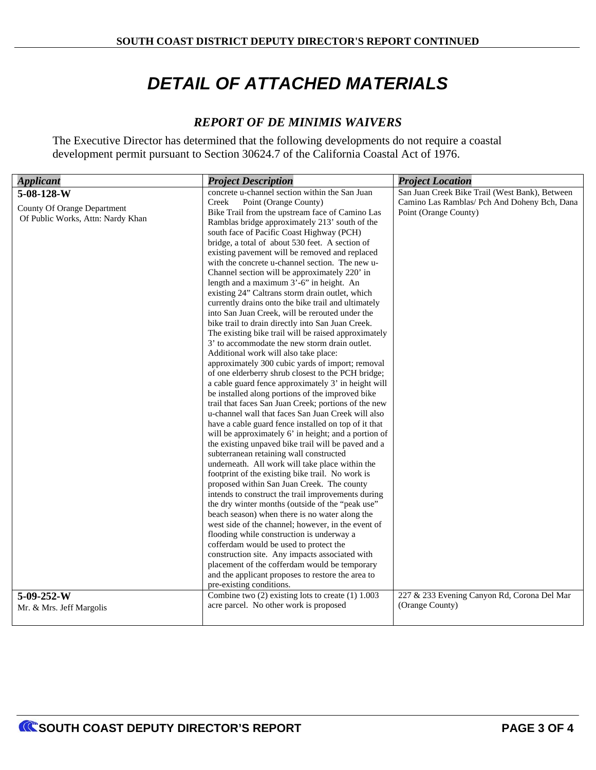# *DETAIL OF ATTACHED MATERIALS*

## *REPORT OF DE MINIMIS WAIVERS*

The Executive Director has determined that the following developments do not require a coastal development permit pursuant to Section 30624.7 of the California Coastal Act of 1976.

| <b>Applicant</b>                   | <b>Project Description</b>                                                                             | <b>Project Location</b>                        |  |  |
|------------------------------------|--------------------------------------------------------------------------------------------------------|------------------------------------------------|--|--|
| 5-08-128-W                         | concrete u-channel section within the San Juan                                                         | San Juan Creek Bike Trail (West Bank), Between |  |  |
| <b>County Of Orange Department</b> | Creek<br>Point (Orange County)<br>Camino Las Ramblas/ Pch And Doheny Bch, Dana                         |                                                |  |  |
| Of Public Works, Attn: Nardy Khan  | Bike Trail from the upstream face of Camino Las                                                        | Point (Orange County)                          |  |  |
|                                    | Ramblas bridge approximately 213' south of the                                                         |                                                |  |  |
|                                    | south face of Pacific Coast Highway (PCH)                                                              |                                                |  |  |
|                                    | bridge, a total of about 530 feet. A section of                                                        |                                                |  |  |
|                                    | existing pavement will be removed and replaced                                                         |                                                |  |  |
|                                    | with the concrete u-channel section. The new u-                                                        |                                                |  |  |
|                                    | Channel section will be approximately 220' in                                                          |                                                |  |  |
|                                    | length and a maximum 3'-6" in height. An                                                               |                                                |  |  |
|                                    | existing 24" Caltrans storm drain outlet, which<br>currently drains onto the bike trail and ultimately |                                                |  |  |
|                                    | into San Juan Creek, will be rerouted under the                                                        |                                                |  |  |
|                                    | bike trail to drain directly into San Juan Creek.                                                      |                                                |  |  |
|                                    | The existing bike trail will be raised approximately                                                   |                                                |  |  |
|                                    | 3' to accommodate the new storm drain outlet.                                                          |                                                |  |  |
|                                    | Additional work will also take place:                                                                  |                                                |  |  |
|                                    | approximately 300 cubic yards of import; removal                                                       |                                                |  |  |
|                                    | of one elderberry shrub closest to the PCH bridge;                                                     |                                                |  |  |
|                                    | a cable guard fence approximately 3' in height will                                                    |                                                |  |  |
|                                    | be installed along portions of the improved bike                                                       |                                                |  |  |
|                                    | trail that faces San Juan Creek; portions of the new                                                   |                                                |  |  |
|                                    | u-channel wall that faces San Juan Creek will also                                                     |                                                |  |  |
|                                    | have a cable guard fence installed on top of it that                                                   |                                                |  |  |
|                                    | will be approximately 6' in height; and a portion of                                                   |                                                |  |  |
|                                    | the existing unpaved bike trail will be paved and a                                                    |                                                |  |  |
|                                    | subterranean retaining wall constructed                                                                |                                                |  |  |
|                                    | underneath. All work will take place within the<br>footprint of the existing bike trail. No work is    |                                                |  |  |
|                                    | proposed within San Juan Creek. The county                                                             |                                                |  |  |
|                                    | intends to construct the trail improvements during                                                     |                                                |  |  |
|                                    | the dry winter months (outside of the "peak use"                                                       |                                                |  |  |
|                                    | beach season) when there is no water along the                                                         |                                                |  |  |
|                                    | west side of the channel; however, in the event of                                                     |                                                |  |  |
|                                    | flooding while construction is underway a                                                              |                                                |  |  |
|                                    | cofferdam would be used to protect the                                                                 |                                                |  |  |
|                                    | construction site. Any impacts associated with                                                         |                                                |  |  |
|                                    | placement of the cofferdam would be temporary                                                          |                                                |  |  |
|                                    | and the applicant proposes to restore the area to                                                      |                                                |  |  |
|                                    | pre-existing conditions.                                                                               |                                                |  |  |
| 5-09-252-W                         | Combine two $(2)$ existing lots to create $(1)$ 1.003                                                  | 227 & 233 Evening Canyon Rd, Corona Del Mar    |  |  |
| Mr. & Mrs. Jeff Margolis           | acre parcel. No other work is proposed                                                                 | (Orange County)                                |  |  |
|                                    |                                                                                                        |                                                |  |  |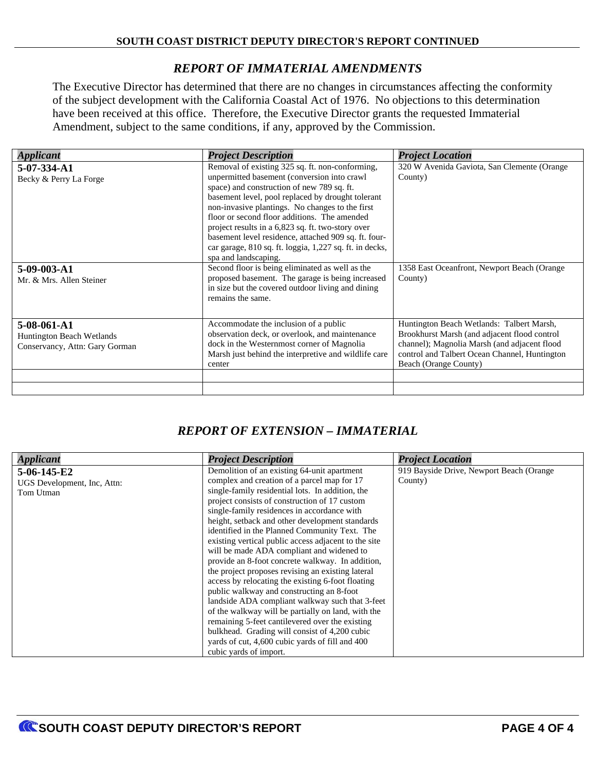# *REPORT OF IMMATERIAL AMENDMENTS*

The Executive Director has determined that there are no changes in circumstances affecting the conformity of the subject development with the California Coastal Act of 1976. No objections to this determination have been received at this office. Therefore, the Executive Director grants the requested Immaterial Amendment, subject to the same conditions, if any, approved by the Commission.

| <b>Applicant</b>                                                                  | <b>Project Description</b>                                                                                                                                                                                                                                                                                                                                                                                                                                                                           | <b>Project Location</b>                                                                                                                                                                                             |  |
|-----------------------------------------------------------------------------------|------------------------------------------------------------------------------------------------------------------------------------------------------------------------------------------------------------------------------------------------------------------------------------------------------------------------------------------------------------------------------------------------------------------------------------------------------------------------------------------------------|---------------------------------------------------------------------------------------------------------------------------------------------------------------------------------------------------------------------|--|
| 5-07-334-A1<br>Becky & Perry La Forge                                             | Removal of existing 325 sq. ft. non-conforming,<br>unpermitted basement (conversion into crawl<br>space) and construction of new 789 sq. ft.<br>basement level, pool replaced by drought tolerant<br>non-invasive plantings. No changes to the first<br>floor or second floor additions. The amended<br>project results in a 6,823 sq. ft. two-story over<br>basement level residence, attached 909 sq. ft. four-<br>car garage, 810 sq. ft. loggia, 1,227 sq. ft. in decks,<br>spa and landscaping. | 320 W Avenida Gaviota, San Clemente (Orange)<br>County)                                                                                                                                                             |  |
| 5-09-003-A1<br>Mr. & Mrs. Allen Steiner                                           | Second floor is being eliminated as well as the<br>proposed basement. The garage is being increased<br>in size but the covered outdoor living and dining<br>remains the same.                                                                                                                                                                                                                                                                                                                        | 1358 East Oceanfront, Newport Beach (Orange)<br>County)                                                                                                                                                             |  |
| 5-08-061-A1<br><b>Huntington Beach Wetlands</b><br>Conservancy, Attn: Gary Gorman | Accommodate the inclusion of a public<br>observation deck, or overlook, and maintenance<br>dock in the Westernmost corner of Magnolia<br>Marsh just behind the interpretive and wildlife care<br>center                                                                                                                                                                                                                                                                                              | Huntington Beach Wetlands: Talbert Marsh,<br>Brookhurst Marsh (and adjacent flood control<br>channel); Magnolia Marsh (and adjacent flood<br>control and Talbert Ocean Channel, Huntington<br>Beach (Orange County) |  |
|                                                                                   |                                                                                                                                                                                                                                                                                                                                                                                                                                                                                                      |                                                                                                                                                                                                                     |  |

# *REPORT OF EXTENSION – IMMATERIAL*

| <b>Applicant</b>            | <b>Project Description</b>                                                              | <b>Project Location</b> |  |
|-----------------------------|-----------------------------------------------------------------------------------------|-------------------------|--|
| $5-06-145-E2$               | 919 Bayside Drive, Newport Beach (Orange<br>Demolition of an existing 64-unit apartment |                         |  |
| UGS Development, Inc, Attn: | complex and creation of a parcel map for 17                                             | County)                 |  |
| Tom Utman                   | single-family residential lots. In addition, the                                        |                         |  |
|                             | project consists of construction of 17 custom                                           |                         |  |
|                             | single-family residences in accordance with                                             |                         |  |
|                             | height, setback and other development standards                                         |                         |  |
|                             | identified in the Planned Community Text. The                                           |                         |  |
|                             | existing vertical public access adjacent to the site                                    |                         |  |
|                             | will be made ADA compliant and widened to                                               |                         |  |
|                             | provide an 8-foot concrete walkway. In addition,                                        |                         |  |
|                             | the project proposes revising an existing lateral                                       |                         |  |
|                             | access by relocating the existing 6-foot floating                                       |                         |  |
|                             | public walkway and constructing an 8-foot                                               |                         |  |
|                             | landside ADA compliant walkway such that 3-feet                                         |                         |  |
|                             | of the walkway will be partially on land, with the                                      |                         |  |
|                             | remaining 5-feet cantilevered over the existing                                         |                         |  |
|                             | bulkhead. Grading will consist of 4,200 cubic                                           |                         |  |
|                             | yards of cut, 4,600 cubic yards of fill and 400                                         |                         |  |
|                             | cubic yards of import.                                                                  |                         |  |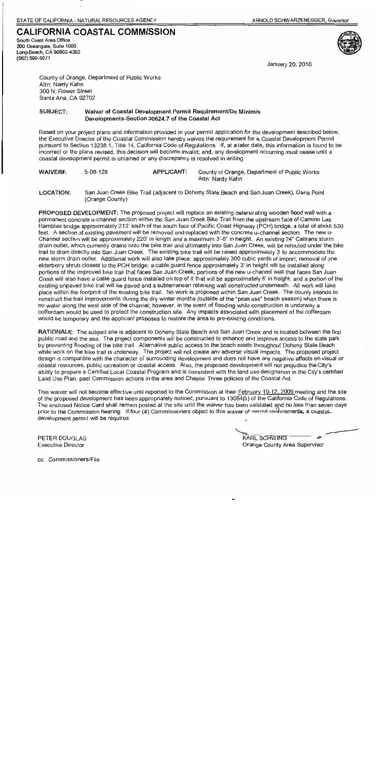South Coast Area Office 200 Oceangate, Suite 1000 Long Beach, CA 90802-4302 (562) 590-5071



January 20, 2010

County of Orange, Department of Public Works Attn: Nardy Kahn 300 N. Flower Street Santa Ana, CA 92702

Waiver of Coastal Development Permit Requirement/De Minimis SUBJECT: Developments-Section 30624.7 of the Coastal Act

Based on your project plans and information provided in your permit application for the development described below, the Executive Director of the Coastal Commission hereby waives the requirement for a Coastal Development Permit pursuant to Section 13238.1, Title 14, California Code of Regulations. If, at a later date, this information is found to be incorrect or the plans revised, this decision will become invalid; and, any development occurring must cease until a coastal development permit is obtained or any discrepancy is resolved in writing.

| <b>WAIVER#:</b> | 5-08-128 | <b>APPLICANT:</b> | County of Orange, Department of Public Works |
|-----------------|----------|-------------------|----------------------------------------------|
|                 |          |                   | Attn: Nardy Kahn                             |

San Juan Creek Bike Trail (adjacent to Doheny State Beach and San Juan Creek), Dana Point **LOCATION:** (Orange County)

PROPOSED DEVELOPMENT: The proposed project will replace an existing deteriorating wooden flood wall with a permanent concrete u-channel section within the San Juan Creek Bike Trail from the upstream face of Camino Las Ramblas bridge approximately 213' south of the south face of Pacific Coast Highway (PCH) bridge, a total of about 530 feet. A section of existing pavement will be removed and replaced with the concrete u-channel section. The new u-Channel section will be approximately 220' in length and a maximum 3'-6" in height. An existing 24" Caltrans storm drain outlet, which currently drains onto the bike trail and ultimately into San Juan Creek, will be rerouted under the bike trail to drain directly into San Juan Creek. The existing bike trail will be raised approximately 3' to accommodate the new storm drain outlet. Additional work will also take place: approximately 300 cubic yards of import; removal of one elderberry shrub closest to the PCH bridge; a cable guard fence approximately 3' in height will be installed along portions of the improved bike trail that faces San Juan Creek; portions of the new u-channel wall that faces San Juan Creek will also have a cable quard fence installed on top of it that will be approximately 6' in height; and a portion of the existing unpayed bike trail will be payed and a subterranean retaining wall constructed underneath. All work will take place within the footprint of the existing bike trail. No work is proposed within San Juan Creek. The county intends to construct the trail improvements during the dry winter months (outside of the "peak use" beach season) when there is no water along the west side of the channel; however, in the event of flooding while construction is underway a cofferdam would be used to protect the construction site. Any impacts associated with placement of the cofferdam would be temporary and the applicant proposes to restore the area to pre-existing conditions.

RATIONALE: The subject site is adjacent to Doheny State Beach and San Juan Creek and is located between the first public road and the sea. The project components will be constructed to enhance and improve access to the state park by preventing flooding of the bike trail. Alternative public access to the beach exists throughout Doheny State Beach while work on the bike trail is underway. The project will not create any adverse visual impacts. The proposed project design is compatible with the character of surrounding development and does not have any negative affects on visual or coastal resources, public recreation or coastal access. Also, the proposed development will not prejudice the City's ability to prepare a Certified Local Coastal Program and is consistent with the land use designation in the City's certified Land Use Plan, past Commission actions in the area and Chapter Three policies of the Coastal Act.

This waiver will not become effective until reported to the Commission at their February 10-12, 2009 meeting and the site of the proposed development has been appropriately noticed, pursuant to 13054(b) of the California Code of Regulations. The enclosed Notice Card shall remain posted at the site until the waiver has been validated and no less than seven days prior to the Commission hearing. If four (4) Commissioners object to this waiver of nermit realirements, a coastal development permit will be required.

PETER DOUGLAS **Executive Director** 

KARL SCHWING Orange County Area Supervisor

cc: Commissioners/File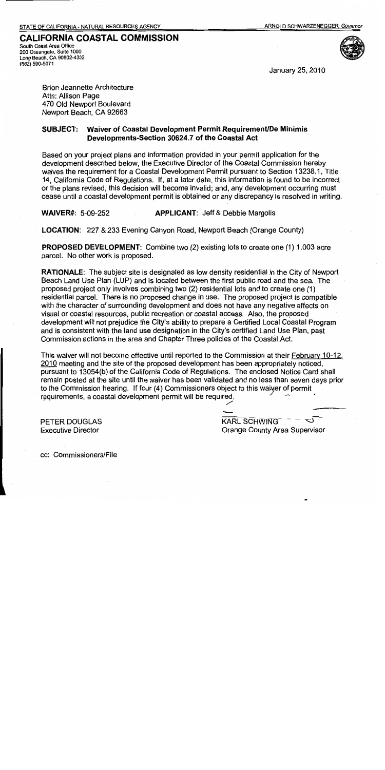South Coast Area Office 200 Oceangate, Suite 1000 Long Beach, CA 90802-4302 (562) 590-5071



January 25, 2010

**Brion Jeannette Architecture** Attn: Allison Page 470 Old Newport Boulevard Newport Beach, CA 92663

#### Waiver of Coastal Development Permit Requirement/De Minimis **SUBJECT:** Developments-Section 30624.7 of the Coastal Act

Based on your project plans and information provided in your permit application for the development described below, the Executive Director of the Coastal Commission hereby waives the requirement for a Coastal Development Permit pursuant to Section 13238.1, Title 14, California Code of Regulations. If, at a later date, this information is found to be incorrect or the plans revised, this decision will become invalid; and, any development occurring must cease until a coastal development permit is obtained or any discrepancy is resolved in writing.

**WAIVER#: 5-09-252 APPLICANT: Jeff & Debbie Margolis** 

**LOCATION: 227 & 233 Evening Canyon Road, Newport Beach (Orange County)** 

**PROPOSED DEVELOPMENT:** Combine two (2) existing lots to create one (1) 1.003 acre parcel. No other work is proposed.

**RATIONALE:** The subject site is designated as low density residential in the City of Newport Beach Land Use Plan (LUP) and is located between the first public road and the sea. The proposed project only involves combining two (2) residential lots and to create one (1) residential parcel. There is no proposed change in use. The proposed project is compatible with the character of surrounding development and does not have any negative affects on visual or coastal resources, public recreation or coastal access. Also, the proposed development will not prejudice the City's ability to prepare a Certified Local Coastal Program and is consistent with the land use designation in the City's certified Land Use Plan, past Commission actions in the area and Chapter Three policies of the Coastal Act.

This waiver will not become effective until reported to the Commission at their February 10-12. 2010 meeting and the site of the proposed development has been appropriately noticed, pursuant to 13054(b) of the California Code of Regulations. The enclosed Notice Card shall remain posted at the site until the waiver has been validated and no less than seven days prior to the Commission hearing. If four (4) Commissioners object to this waiver of permit requirements, a coastal development permit will be required.

**PETER DOUGLAS Executive Director** 

**KARL SCHWING** Orange County Area Supervisor

cc: Commissioners/File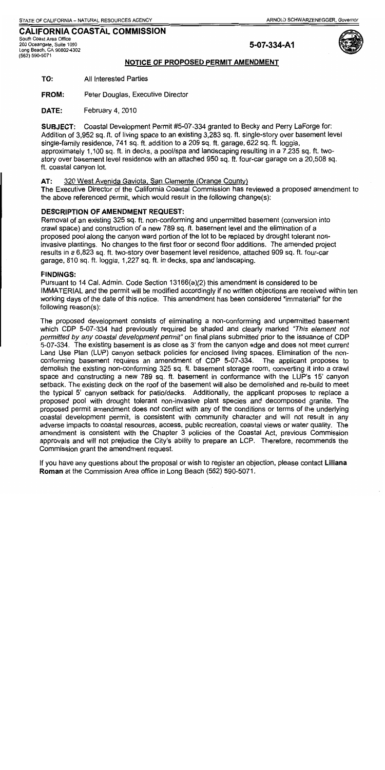South Coast Area Office 200 Oceangate, Suite 1000 Long Beach, CA 90802-4302 (562) 590-5071

## 5-07-334-A1



#### NOTICE OF PROPOSED PERMIT AMENDMENT

TO: **All Interested Parties** 

**FROM:** Peter Douglas, Executive Director

DATE: February 4, 2010

**SUBJECT:** Coastal Development Permit #5-07-334 granted to Becky and Perry LaForge for: Addition of 3,952 sq. ft. of living space to an existing 3,283 sq. ft. single-story over basement level single-family residence, 741 sq. ft. addition to a 209 sq. ft. garage, 622 sq. ft. loggia, approximately 1,100 sq. ft. in decks, a pool/spa and landscaping resulting in a 7,235 sq. ft. twostory over basement level residence with an attached 950 sq. ft. four-car garage on a 20,508 sq. ft. coastal canvon lot.

#### $AT:$ 320 West Avenida Gaviota, San Clemente (Orange County)

The Executive Director of the California Coastal Commission has reviewed a proposed amendment to the above referenced permit, which would result in the following change(s):

#### **DESCRIPTION OF AMENDMENT REQUEST:**

Removal of an existing 325 sq. ft. non-conforming and unpermitted basement (conversion into crawl space) and construction of a new 789 sq. ft. basement level and the elimination of a proposed pool along the canyon ward portion of the lot to be replaced by drought tolerant noninvasive plantings. No changes to the first floor or second floor additions. The amended project results in a 6,823 sq. ft. two-story over basement level residence, attached 909 sq. ft. four-car garage, 810 sq. ft. loggia, 1,227 sq. ft. in decks, spa and landscaping.

#### **FINDINGS:**

Pursuant to 14 Cal. Admin. Code Section 13166(a)(2) this amendment is considered to be IMMATERIAL and the permit will be modified accordingly if no written objections are received within ten working days of the date of this notice. This amendment has been considered "immaterial" for the following reason(s):

The proposed development consists of eliminating a non-conforming and unpermitted basement which CDP 5-07-334 had previously required be shaded and clearly marked "This element not permitted by any coastal development permit" on final plans submitted prior to the issuance of CDP 5-07-334. The existing basement is as close as 3' from the canyon edge and does not meet current Land Use Plan (LUP) canyon setback policies for enclosed living spaces. Elimination of the nonconforming basement requires an amendment of CDP 5-07-334. The applicant proposes to demolish the existing non-conforming 325 sq. ft. basement storage room, converting it into a crawl space and constructing a new 789 sq. ft. basement in conformance with the LUP's 15' canyon setback. The existing deck on the roof of the basement will also be demolished and re-build to meet the typical 5' canyon setback for patio/decks. Additionally, the applicant proposes to replace a proposed pool with drought tolerant non-invasive plant species and decomposed granite. The proposed permit amendment does not conflict with any of the conditions or terms of the underlying coastal development permit, is consistent with community character and will not result in any adverse impacts to coastal resources, access, public recreation, coastal views or water quality. The amendment is consistent with the Chapter 3 policies of the Coastal Act, previous Commission approvals and will not prejudice the City's ability to prepare an LCP. Therefore, recommends the Commission grant the amendment request.

If you have any questions about the proposal or wish to register an objection, please contact Liliana Roman at the Commission Area office in Long Beach (562) 590-5071.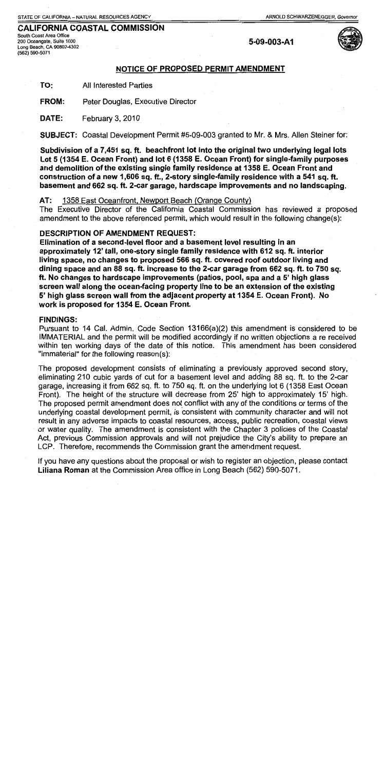South Coast Area Office 200 Oceangate, Suite 1000 Long Beach, CA 90802-4302 (562) 590-5071

5-09-003-A1



#### NOTICE OF PROPOSED PERMIT AMENDMENT

TO: **All Interested Parties** 

FROM: Peter Douglas, Executive Director

DATE: February 3, 2010

**SUBJECT:** Coastal Development Permit #5-09-003 granted to Mr. & Mrs. Allen Steiner for:

Subdivision of a 7,451 sq. ft. beachfront lot into the original two underlying legal lots Lot 5 (1354 E. Ocean Front) and lot 6 (1358 E. Ocean Front) for single-family purposes and demolition of the existing single family residence at 1358 E. Ocean Front and construction of a new 1,606 sq. ft., 2-story single-family residence with a 541 sq. ft. basement and 662 sq. ft. 2-car garage, hardscape improvements and no landscaping.

#### $AT:$ 1358 East Oceanfront, Newport Beach (Orange County)

The Executive Director of the California Coastal Commission has reviewed a proposed amendment to the above referenced permit, which would result in the following change(s):

#### **DESCRIPTION OF AMENDMENT REQUEST:**

Elimination of a second-level floor and a basement level resulting in an approximately 12' tall, one-story single family residence with 612 sq. ft. interior living space, no changes to proposed 566 sq. ft. covered roof outdoor living and dining space and an 88 sq. ft. increase to the 2-car garage from 662 sq. ft. to 750 sq. ft. No changes to hardscape improvements (patios, pool, spa and a 5' high glass screen wall along the ocean-facing property line to be an extension of the existing 5' high glass screen wall from the adjacent property at 1354 E. Ocean Front). No work is proposed for 1354 E. Ocean Front.

#### **FINDINGS:**

Pursuant to 14 Cal. Admin. Code Section 13166(a)(2) this amendment is considered to be IMMATERIAL and the permit will be modified accordingly if no written objections a re received within ten working days of the date of this notice. This amendment has been considered "immaterial" for the following reason(s):

The proposed development consists of eliminating a previously approved second story, eliminating 210 cubic vards of cut for a basement level and adding 88 sq. ft. to the 2-car garage, increasing it from 662 sq. ft. to 750 sq. ft. on the underlying lot 6 (1358 East Ocean Front). The height of the structure will decrease from 25' high to approximately 15' high. The proposed permit amendment does not conflict with any of the conditions or terms of the underlying coastal development permit, is consistent with community character and will not result in any adverse impacts to coastal resources, access, public recreation, coastal views or water quality. The amendment is consistent with the Chapter 3 policies of the Coastal Act, previous Commission approvals and will not prejudice the City's ability to prepare an LCP. Therefore, recommends the Commission grant the amendment request.

If you have any questions about the proposal or wish to register an objection, please contact Liliana Roman at the Commission Area office in Long Beach (562) 590-5071.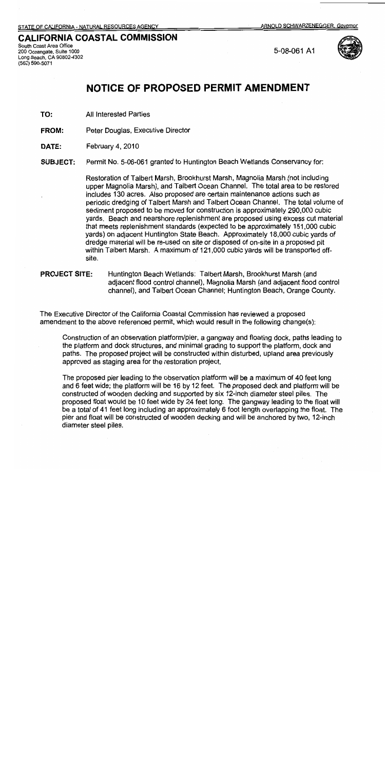South Coast Area Office 200 Oceangate, Suite 1000 Long Beach, CA 90802-4302 (562) 590-5071

5-08-061 A1



# NOTICE OF PROPOSED PERMIT AMENDMENT

TO: **All Interested Parties** 

**FROM:** Peter Douglas, Executive Director

DATE: February 4, 2010

Permit No. 5-06-061 granted to Huntington Beach Wetlands Conservancy for: **SUBJECT:** 

> Restoration of Talbert Marsh, Brookhurst Marsh, Magnolia Marsh (not including upper Magnolia Marsh), and Talbert Ocean Channel. The total area to be restored includes 130 acres. Also proposed are certain maintenance actions such as periodic dredging of Talbert Marsh and Talbert Ocean Channel. The total volume of sediment proposed to be moved for construction is approximately 290,000 cubic yards. Beach and nearshore replenishment are proposed using excess cut material that meets replenishment standards (expected to be approximately 151,000 cubic yards) on adjacent Huntington State Beach. Approximately 18,000 cubic yards of dredge material will be re-used on site or disposed of on-site in a proposed pit within Talbert Marsh. A maximum of 121,000 cubic yards will be transported offsite.

#### **PROJECT SITE:** Huntington Beach Wetlands: Talbert Marsh, Brookhurst Marsh (and adjacent flood control channel), Magnolia Marsh (and adjacent flood control channel), and Talbert Ocean Channel; Huntington Beach, Orange County.

The Executive Director of the California Coastal Commission has reviewed a proposed amendment to the above referenced permit, which would result in the following change(s):

Construction of an observation platform/pier, a gangway and floating dock, paths leading to the platform and dock structures, and minimal grading to support the platform, dock and paths. The proposed project will be constructed within disturbed, upland area previously approved as staging area for the restoration project.

The proposed pier leading to the observation platform will be a maximum of 40 feet long and 6 feet wide; the platform will be 16 by 12 feet. The proposed deck and platform will be constructed of wooden decking and supported by six 12-inch diameter steel piles. The proposed float would be 10 feet wide by 24 feet long. The gangway leading to the float will be a total of 41 feet long including an approximately 6 foot length overlapping the float. The pier and float will be constructed of wooden decking and will be anchored by two, 12-inch diameter steel piles.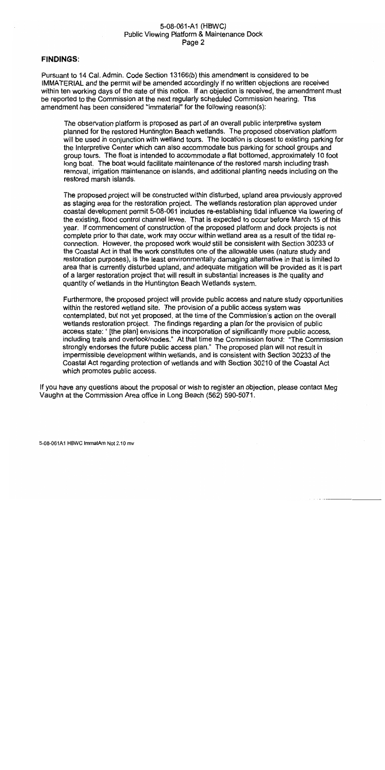#### 5-08-061-A1 (HBWC) Public Viewing Platform & Maintenance Dock Page 2

#### **FINDINGS:**

Pursuant to 14 Cal. Admin, Code Section 13166(b) this amendment is considered to be IMMATERIAL and the permit will be amended accordingly if no written objections are received within ten working days of the date of this notice. If an objection is received, the amendment must be reported to the Commission at the next regularly scheduled Commission hearing. This amendment has been considered "immaterial" for the following reason(s):

The observation platform is proposed as part of an overall public interpretive system planned for the restored Huntington Beach wetlands. The proposed observation platform will be used in conjunction with wetland tours. The location is closest to existing parking for the Interpretive Center which can also accommodate bus parking for school groups and group tours. The float is intended to accommodate a flat bottomed, approximately 10 foot long boat. The boat would facilitate maintenance of the restored marsh including trash removal, irrigation maintenance on islands, and additional planting needs including on the restored marsh islands.

The proposed project will be constructed within disturbed, upland area previously approved as staging area for the restoration project. The wetlands restoration plan approved under coastal development permit 5-08-061 includes re-establishing tidal influence via lowering of the existing, flood control channel levee. That is expected to occur before March 15 of this year. If commencement of construction of the proposed platform and dock projects is not complete prior to that date, work may occur within wetland area as a result of the tidal reconnection. However, the proposed work would still be consistent with Section 30233 of the Coastal Act in that the work constitutes one of the allowable uses (nature study and restoration purposes), is the least environmentally damaging alternative in that is limited to area that is currently disturbed upland, and adequate mitigation will be provided as it is part of a larger restoration project that will result in substantial increases is the quality and quantity of wetlands in the Huntington Beach Wetlands system.

Furthermore, the proposed project will provide public access and nature study opportunities within the restored wetland site. The provision of a public access system was contemplated, but not yet proposed, at the time of the Commission's action on the overall wetlands restoration project. The findings regarding a plan for the provision of public access state: " [the plan] envisions the incorporation of significantly more public access. including trails and overlook/nodes." At that time the Commission found: "The Commission strongly endorses the future public access plan." The proposed plan will not result in impermissible development within wetlands, and is consistent with Section 30233 of the Coastal Act regarding protection of wetlands and with Section 30210 of the Coastal Act which promotes public access.

If you have any questions about the proposal or wish to register an objection, please contact Meg Vaughn at the Commission Area office in Long Beach (562) 590-5071.